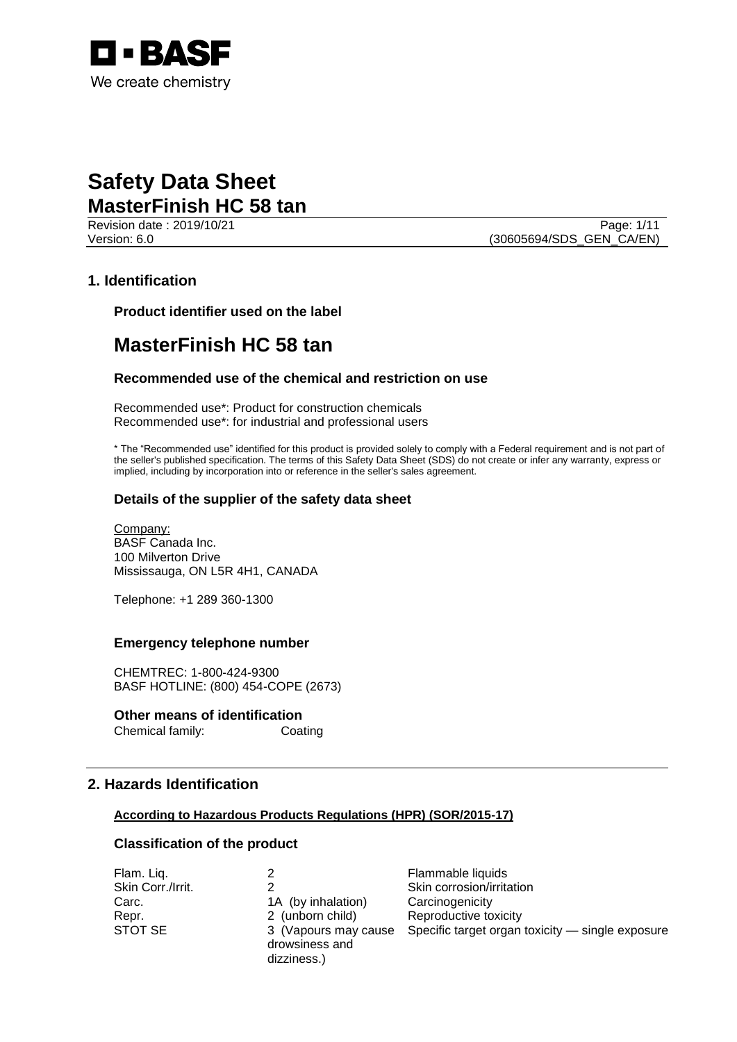

Revision date : 2019/10/21 Page: 1/11 Version: 6.0 **(30605694/SDS\_GEN\_CA/EN)** 

### **1. Identification**

**Product identifier used on the label**

# **MasterFinish HC 58 tan**

### **Recommended use of the chemical and restriction on use**

Recommended use\*: Product for construction chemicals Recommended use\*: for industrial and professional users

\* The "Recommended use" identified for this product is provided solely to comply with a Federal requirement and is not part of the seller's published specification. The terms of this Safety Data Sheet (SDS) do not create or infer any warranty, express or implied, including by incorporation into or reference in the seller's sales agreement.

#### **Details of the supplier of the safety data sheet**

Company: BASF Canada Inc. 100 Milverton Drive Mississauga, ON L5R 4H1, CANADA

Telephone: +1 289 360-1300

#### **Emergency telephone number**

CHEMTREC: 1-800-424-9300 BASF HOTLINE: (800) 454-COPE (2673)

### **Other means of identification**

Chemical family: Coating

### **2. Hazards Identification**

#### **According to Hazardous Products Regulations (HPR) (SOR/2015-17)**

### **Classification of the product**

| Flam. Liq.        |                      | Flammable liquids                                |
|-------------------|----------------------|--------------------------------------------------|
| Skin Corr./Irrit. |                      | Skin corrosion/irritation                        |
| Carc.             | 1A (by inhalation)   | Carcinogenicity                                  |
| Repr.             | 2 (unborn child)     | Reproductive toxicity                            |
| STOT SE           | 3 (Vapours may cause | Specific target organ toxicity - single exposure |
|                   | drowsiness and       |                                                  |
|                   | dizziness.)          |                                                  |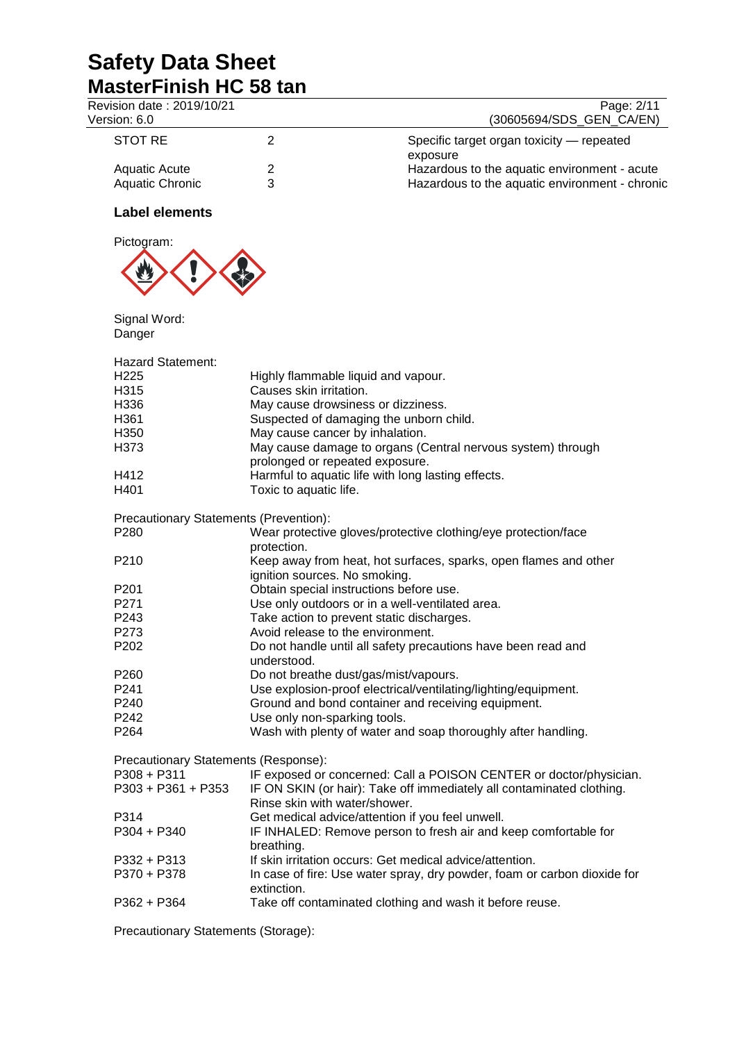| Revision date: 2019/10/21<br>Version: 6.0      |                                                          | Page: 2/11<br>(30605694/SDS_GEN_CA/EN)                                                         |
|------------------------------------------------|----------------------------------------------------------|------------------------------------------------------------------------------------------------|
| <b>STOT RE</b>                                 | 2                                                        | Specific target organ toxicity - repeated<br>exposure                                          |
| <b>Aquatic Acute</b><br><b>Aquatic Chronic</b> | $\overline{\mathbf{c}}$<br>3                             | Hazardous to the aquatic environment - acute<br>Hazardous to the aquatic environment - chronic |
| <b>Label elements</b>                          |                                                          |                                                                                                |
| Pictogram:                                     |                                                          |                                                                                                |
| Signal Word:<br>Danger                         |                                                          |                                                                                                |
| <b>Hazard Statement:</b>                       |                                                          |                                                                                                |
| H <sub>225</sub>                               | Highly flammable liquid and vapour.                      |                                                                                                |
| H315                                           | Causes skin irritation.                                  |                                                                                                |
| H336                                           | May cause drowsiness or dizziness.                       |                                                                                                |
| H361                                           | Suspected of damaging the unborn child.                  |                                                                                                |
| H350                                           | May cause cancer by inhalation.                          |                                                                                                |
| H373                                           |                                                          | May cause damage to organs (Central nervous system) through                                    |
|                                                | prolonged or repeated exposure.                          |                                                                                                |
| H412                                           | Harmful to aquatic life with long lasting effects.       |                                                                                                |
| H401                                           | Toxic to aquatic life.                                   |                                                                                                |
|                                                |                                                          |                                                                                                |
| Precautionary Statements (Prevention):         |                                                          |                                                                                                |
| P280                                           |                                                          | Wear protective gloves/protective clothing/eye protection/face                                 |
|                                                | protection.                                              |                                                                                                |
| P210                                           |                                                          | Keep away from heat, hot surfaces, sparks, open flames and other                               |
|                                                | ignition sources. No smoking.                            |                                                                                                |
| P <sub>201</sub>                               | Obtain special instructions before use.                  |                                                                                                |
| P271                                           | Use only outdoors or in a well-ventilated area.          |                                                                                                |
| P243                                           | Take action to prevent static discharges.                |                                                                                                |
| P273                                           | Avoid release to the environment.                        |                                                                                                |
| P202                                           |                                                          | Do not handle until all safety precautions have been read and                                  |
|                                                | understood.                                              |                                                                                                |
| P <sub>260</sub>                               | Do not breathe dust/gas/mist/vapours.                    |                                                                                                |
| P241                                           |                                                          | Use explosion-proof electrical/ventilating/lighting/equipment.                                 |
| P240                                           | Ground and bond container and receiving equipment.       |                                                                                                |
| P242                                           | Use only non-sparking tools.                             |                                                                                                |
| P264                                           |                                                          | Wash with plenty of water and soap thoroughly after handling.                                  |
| Precautionary Statements (Response):           |                                                          |                                                                                                |
| $P308 + P311$                                  |                                                          | IF exposed or concerned: Call a POISON CENTER or doctor/physician.                             |
| P303 + P361 + P353                             | Rinse skin with water/shower.                            | IF ON SKIN (or hair): Take off immediately all contaminated clothing.                          |
| P314                                           | Get medical advice/attention if you feel unwell.         |                                                                                                |
| $P304 + P340$                                  | breathing.                                               | IF INHALED: Remove person to fresh air and keep comfortable for                                |
| P332 + P313                                    | If skin irritation occurs: Get medical advice/attention. |                                                                                                |
| P370 + P378                                    | extinction.                                              | In case of fire: Use water spray, dry powder, foam or carbon dioxide for                       |
| $P362 + P364$                                  |                                                          | Take off contaminated clothing and wash it before reuse.                                       |

Precautionary Statements (Storage):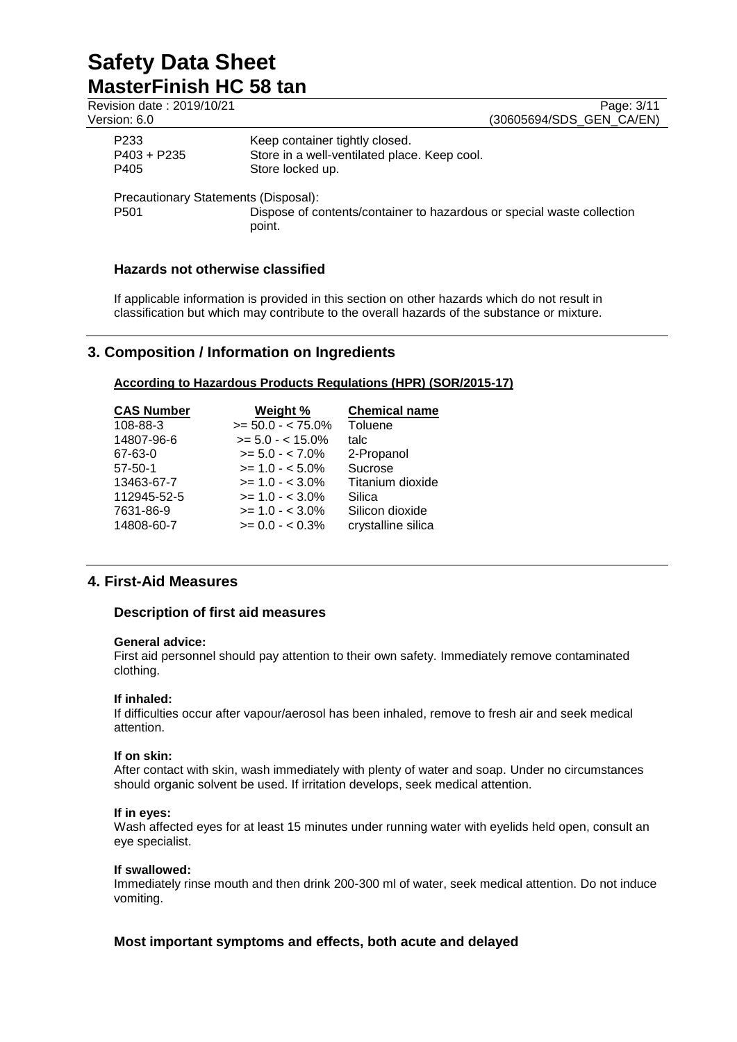| Revision date: 2019/10/21<br>Version: 6.0                |                                                                                                    | Page: 3/11<br>(30605694/SDS_GEN_CA/EN) |
|----------------------------------------------------------|----------------------------------------------------------------------------------------------------|----------------------------------------|
| P233<br>$P403 + P235$<br>P405                            | Keep container tightly closed.<br>Store in a well-ventilated place. Keep cool.<br>Store locked up. |                                        |
| Precautionary Statements (Disposal):<br>P <sub>501</sub> | Dispose of contents/container to hazardous or special waste collection<br>point.                   |                                        |

### **Hazards not otherwise classified**

If applicable information is provided in this section on other hazards which do not result in classification but which may contribute to the overall hazards of the substance or mixture.

# **3. Composition / Information on Ingredients**

#### **According to Hazardous Products Regulations (HPR) (SOR/2015-17)**

| <b>CAS Number</b> | Weight %             | <b>Chemical name</b> |
|-------------------|----------------------|----------------------|
| 108-88-3          | $>= 50.0 - < 75.0\%$ | Toluene              |
| 14807-96-6        | $>= 5.0 - < 15.0\%$  | talc                 |
| 67-63-0           | $>= 5.0 - < 7.0\%$   | 2-Propanol           |
| $57 - 50 - 1$     | $>= 1.0 - 5.0\%$     | Sucrose              |
| 13463-67-7        | $>= 1.0 - < 3.0\%$   | Titanium dioxide     |
| 112945-52-5       | $>= 1.0 - < 3.0\%$   | Silica               |
| 7631-86-9         | $>= 1.0 - < 3.0\%$   | Silicon dioxide      |
| 14808-60-7        | $>= 0.0 - 0.3\%$     | crystalline silica   |

### **4. First-Aid Measures**

### **Description of first aid measures**

#### **General advice:**

First aid personnel should pay attention to their own safety. Immediately remove contaminated clothing.

#### **If inhaled:**

If difficulties occur after vapour/aerosol has been inhaled, remove to fresh air and seek medical attention.

#### **If on skin:**

After contact with skin, wash immediately with plenty of water and soap. Under no circumstances should organic solvent be used. If irritation develops, seek medical attention.

#### **If in eyes:**

Wash affected eyes for at least 15 minutes under running water with eyelids held open, consult an eye specialist.

#### **If swallowed:**

Immediately rinse mouth and then drink 200-300 ml of water, seek medical attention. Do not induce vomiting.

### **Most important symptoms and effects, both acute and delayed**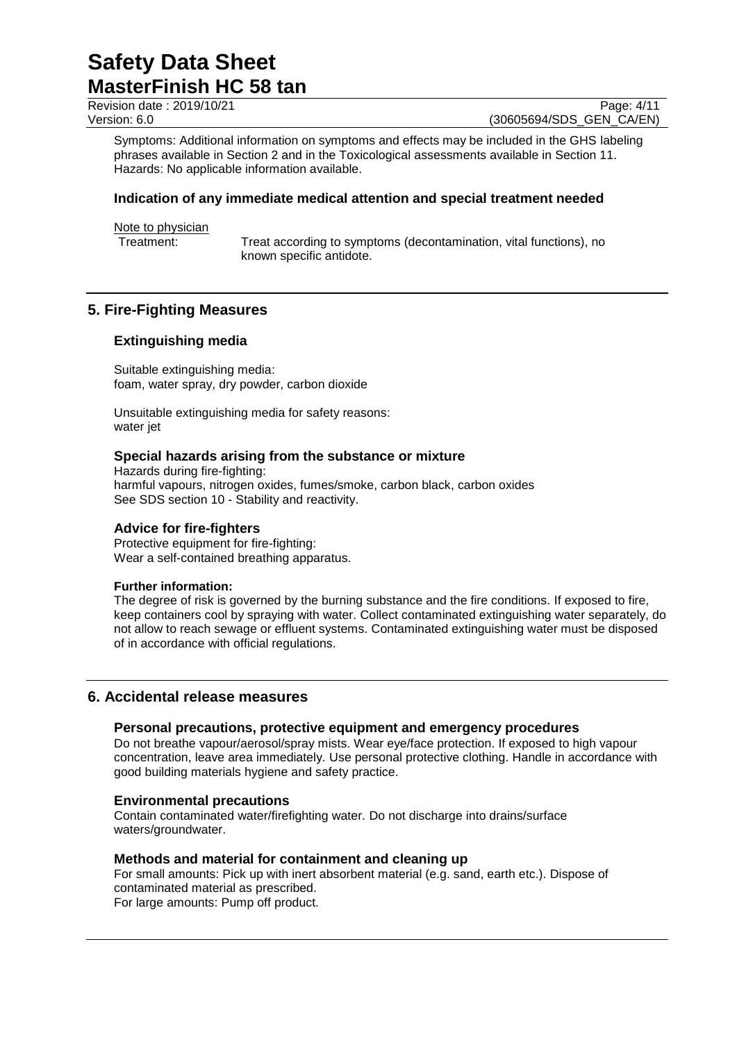Revision date : 2019/10/21 Page: 4/11<br>Version: 6.0 (30605694/SDS GEN CA/EN) (30605694/SDS\_GEN\_CA/EN)

Symptoms: Additional information on symptoms and effects may be included in the GHS labeling phrases available in Section 2 and in the Toxicological assessments available in Section 11. Hazards: No applicable information available.

### **Indication of any immediate medical attention and special treatment needed**

Note to physician<br>Treatment:

Treat according to symptoms (decontamination, vital functions), no known specific antidote.

# **5. Fire-Fighting Measures**

### **Extinguishing media**

Suitable extinguishing media: foam, water spray, dry powder, carbon dioxide

Unsuitable extinguishing media for safety reasons: water jet

### **Special hazards arising from the substance or mixture**

Hazards during fire-fighting: harmful vapours, nitrogen oxides, fumes/smoke, carbon black, carbon oxides See SDS section 10 - Stability and reactivity.

### **Advice for fire-fighters**

Protective equipment for fire-fighting: Wear a self-contained breathing apparatus.

### **Further information:**

The degree of risk is governed by the burning substance and the fire conditions. If exposed to fire, keep containers cool by spraying with water. Collect contaminated extinguishing water separately, do not allow to reach sewage or effluent systems. Contaminated extinguishing water must be disposed of in accordance with official regulations.

### **6. Accidental release measures**

### **Personal precautions, protective equipment and emergency procedures**

Do not breathe vapour/aerosol/spray mists. Wear eye/face protection. If exposed to high vapour concentration, leave area immediately. Use personal protective clothing. Handle in accordance with good building materials hygiene and safety practice.

### **Environmental precautions**

Contain contaminated water/firefighting water. Do not discharge into drains/surface waters/groundwater.

### **Methods and material for containment and cleaning up**

For small amounts: Pick up with inert absorbent material (e.g. sand, earth etc.). Dispose of contaminated material as prescribed. For large amounts: Pump off product.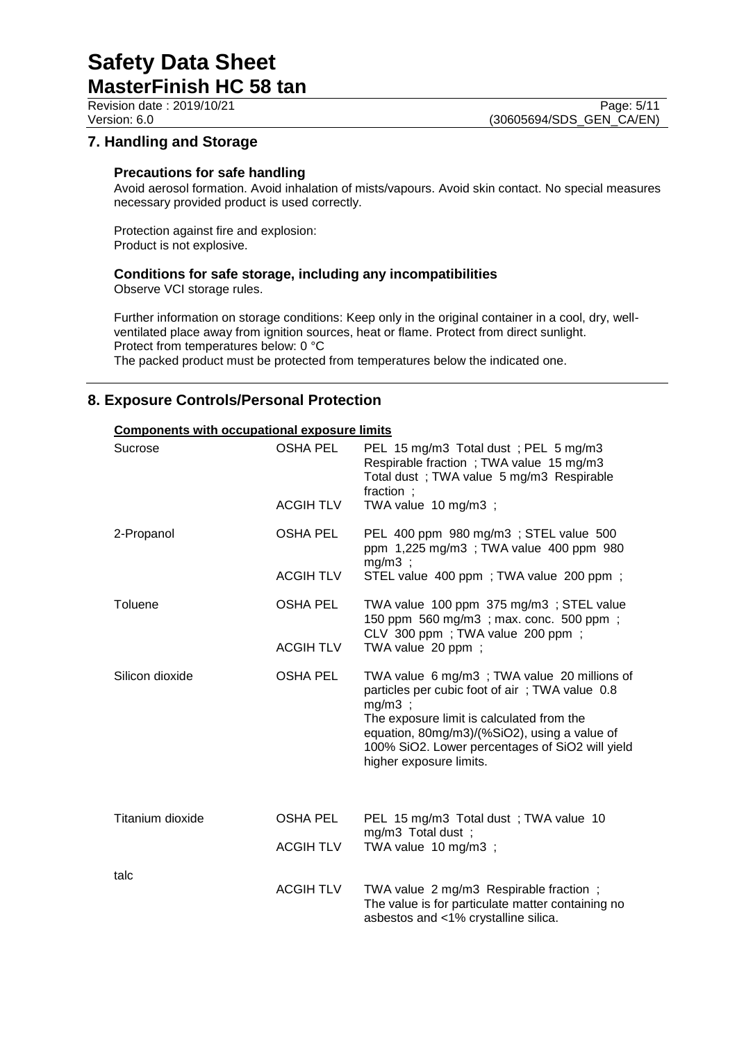Revision date : 2019/10/21 Page: 5/11<br>Version: 6.0 (30605694/SDS GEN CA/EN) (30605694/SDS\_GEN\_CA/EN)

# **7. Handling and Storage**

#### **Precautions for safe handling**

Avoid aerosol formation. Avoid inhalation of mists/vapours. Avoid skin contact. No special measures necessary provided product is used correctly.

Protection against fire and explosion: Product is not explosive.

### **Conditions for safe storage, including any incompatibilities**

Observe VCI storage rules.

Further information on storage conditions: Keep only in the original container in a cool, dry, wellventilated place away from ignition sources, heat or flame. Protect from direct sunlight. Protect from temperatures below: 0 °C

The packed product must be protected from temperatures below the indicated one.

### **8. Exposure Controls/Personal Protection**

| Sucrose          | OSHA PEL         | PEL 15 mg/m3 Total dust; PEL 5 mg/m3<br>Respirable fraction; TWA value 15 mg/m3<br>Total dust; TWA value 5 mg/m3 Respirable<br>fraction ;                                                                                                                                             |
|------------------|------------------|---------------------------------------------------------------------------------------------------------------------------------------------------------------------------------------------------------------------------------------------------------------------------------------|
|                  | <b>ACGIH TLV</b> | TWA value 10 mg/m3 ;                                                                                                                                                                                                                                                                  |
| 2-Propanol       | <b>OSHA PEL</b>  | PEL 400 ppm 980 mg/m3 ; STEL value 500<br>ppm 1,225 mg/m3; TWA value 400 ppm 980<br>$mg/m3$ ;                                                                                                                                                                                         |
|                  | <b>ACGIH TLV</b> | STEL value 400 ppm; TWA value 200 ppm;                                                                                                                                                                                                                                                |
| Toluene          | <b>OSHA PEL</b>  | TWA value 100 ppm 375 mg/m3; STEL value<br>150 ppm 560 mg/m3; max. conc. 500 ppm;<br>CLV 300 ppm; TWA value 200 ppm;                                                                                                                                                                  |
|                  | <b>ACGIH TLV</b> | TWA value 20 ppm;                                                                                                                                                                                                                                                                     |
| Silicon dioxide  | <b>OSHA PEL</b>  | TWA value 6 mg/m3; TWA value 20 millions of<br>particles per cubic foot of air; TWA value 0.8<br>$mg/m3$ ;<br>The exposure limit is calculated from the<br>equation, 80mg/m3)/(%SiO2), using a value of<br>100% SiO2. Lower percentages of SiO2 will yield<br>higher exposure limits. |
| Titanium dioxide | <b>OSHA PEL</b>  | PEL 15 mg/m3 Total dust; TWA value 10                                                                                                                                                                                                                                                 |
|                  | <b>ACGIH TLV</b> | mg/m3 Total dust;<br>TWA value 10 mg/m3;                                                                                                                                                                                                                                              |
| talc             | <b>ACGIH TLV</b> | TWA value 2 mg/m3 Respirable fraction;<br>The value is for particulate matter containing no<br>asbestos and <1% crystalline silica.                                                                                                                                                   |

# **Components with occupational exposure limits**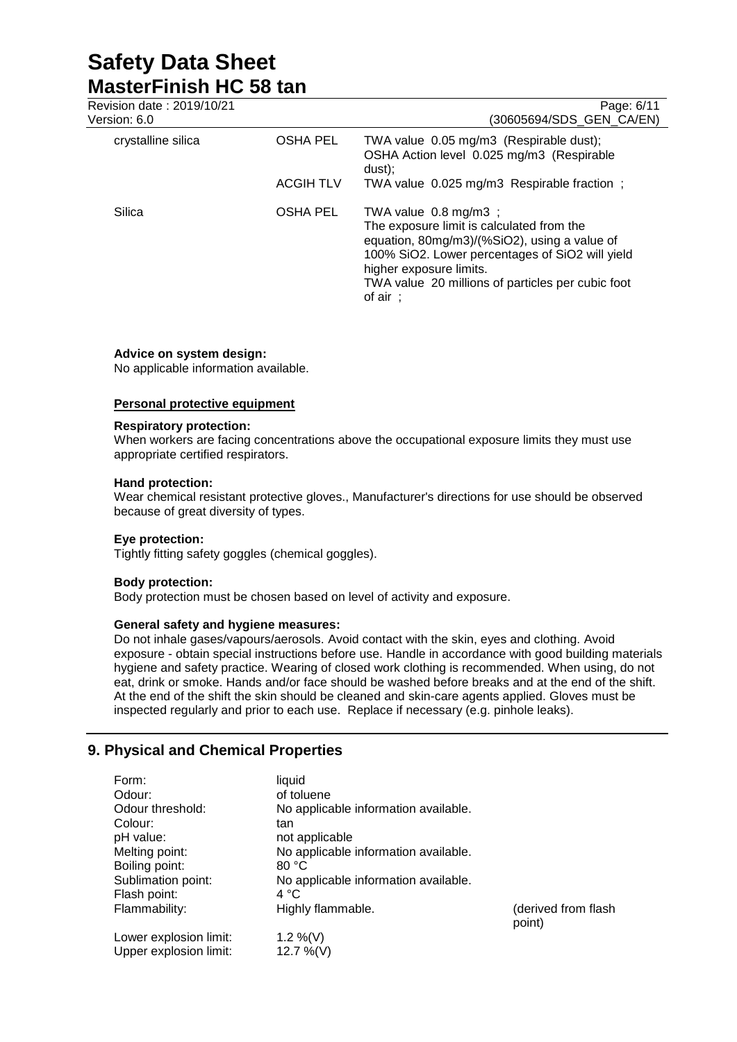# **Safety Data Sheet MasterFinish HC 58 tan**<br>Revision date : 2019/10/21

| Revision date: 2019/10/21<br>Version: 6.0 |                  | Page: 6/11<br>(30605694/SDS GEN CA/EN)                                                                                                                                                                                                                                     |
|-------------------------------------------|------------------|----------------------------------------------------------------------------------------------------------------------------------------------------------------------------------------------------------------------------------------------------------------------------|
| crystalline silica                        | <b>OSHA PEL</b>  | TWA value 0.05 mg/m3 (Respirable dust);<br>OSHA Action level 0.025 mg/m3 (Respirable<br>dust);                                                                                                                                                                             |
|                                           | <b>ACGIH TLV</b> | TWA value 0.025 mg/m3 Respirable fraction;                                                                                                                                                                                                                                 |
| Silica                                    | <b>OSHA PEL</b>  | TWA value $0.8 \text{ mg/m3}$ ;<br>The exposure limit is calculated from the<br>equation, 80mg/m3)/(%SiO2), using a value of<br>100% SiO2. Lower percentages of SiO2 will yield<br>higher exposure limits.<br>TWA value 20 millions of particles per cubic foot<br>of air: |

#### **Advice on system design:**

No applicable information available.

#### **Personal protective equipment**

#### **Respiratory protection:**

When workers are facing concentrations above the occupational exposure limits they must use appropriate certified respirators.

#### **Hand protection:**

Wear chemical resistant protective gloves., Manufacturer's directions for use should be observed because of great diversity of types.

#### **Eye protection:**

Tightly fitting safety goggles (chemical goggles).

#### **Body protection:**

Body protection must be chosen based on level of activity and exposure.

#### **General safety and hygiene measures:**

Do not inhale gases/vapours/aerosols. Avoid contact with the skin, eyes and clothing. Avoid exposure - obtain special instructions before use. Handle in accordance with good building materials hygiene and safety practice. Wearing of closed work clothing is recommended. When using, do not eat, drink or smoke. Hands and/or face should be washed before breaks and at the end of the shift. At the end of the shift the skin should be cleaned and skin-care agents applied. Gloves must be inspected regularly and prior to each use. Replace if necessary (e.g. pinhole leaks).

### **9. Physical and Chemical Properties**

| Form:                  | liquid                               |                     |
|------------------------|--------------------------------------|---------------------|
| Odour:                 | of toluene                           |                     |
| Odour threshold:       | No applicable information available. |                     |
| Colour:                | tan                                  |                     |
| pH value:              | not applicable                       |                     |
| Melting point:         | No applicable information available. |                     |
| Boiling point:         | 80 °C                                |                     |
| Sublimation point:     | No applicable information available. |                     |
| Flash point:           | 4 °C                                 |                     |
| Flammability:          | Highly flammable.                    | (derived from flash |
|                        |                                      | point)              |
| Lower explosion limit: | 1.2 %(V)                             |                     |
| Upper explosion limit: | 12.7 %(V)                            |                     |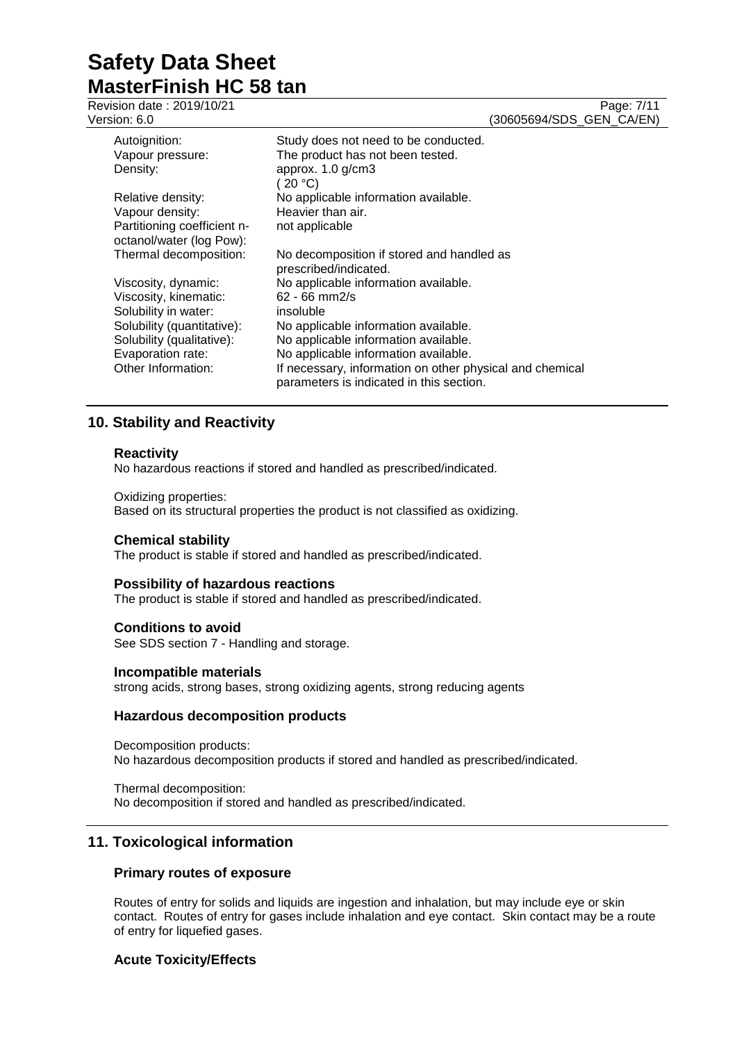Revision date : 2019/10/21 Page: 7/11<br>Version: 6.0 (30605694/SDS GEN CA/EN) (30605694/SDS\_GEN\_CA/EN) Autoignition: Study does not need to be conducted. Vapour pressure: The product has not been tested. Density: approx. 1.0 g/cm3  $(20 °C)$ Relative density: No applicable information available.<br>Vapour density: Heavier than air. Heavier than air. Partitioning coefficient noctanol/water (log Pow):<br>Thermal decomposition: not applicable No decomposition if stored and handled as prescribed/indicated. Viscosity, dynamic: No applicable information available. Viscosity, kinematic: 62 - 66 mm2/s<br>Solubility in water: insoluble Solubility in water: Solubility (quantitative): No applicable information available.<br>Solubility (qualitative): No applicable information available. No applicable information available. Evaporation rate: No applicable information available. Other Information: If necessary, information on other physical and chemical parameters is indicated in this section.

# **10. Stability and Reactivity**

#### **Reactivity**

No hazardous reactions if stored and handled as prescribed/indicated.

#### Oxidizing properties:

Based on its structural properties the product is not classified as oxidizing.

#### **Chemical stability**

The product is stable if stored and handled as prescribed/indicated.

#### **Possibility of hazardous reactions**

The product is stable if stored and handled as prescribed/indicated.

#### **Conditions to avoid**

See SDS section 7 - Handling and storage.

#### **Incompatible materials**

strong acids, strong bases, strong oxidizing agents, strong reducing agents

#### **Hazardous decomposition products**

Decomposition products: No hazardous decomposition products if stored and handled as prescribed/indicated.

Thermal decomposition: No decomposition if stored and handled as prescribed/indicated.

### **11. Toxicological information**

#### **Primary routes of exposure**

Routes of entry for solids and liquids are ingestion and inhalation, but may include eye or skin contact. Routes of entry for gases include inhalation and eye contact. Skin contact may be a route of entry for liquefied gases.

#### **Acute Toxicity/Effects**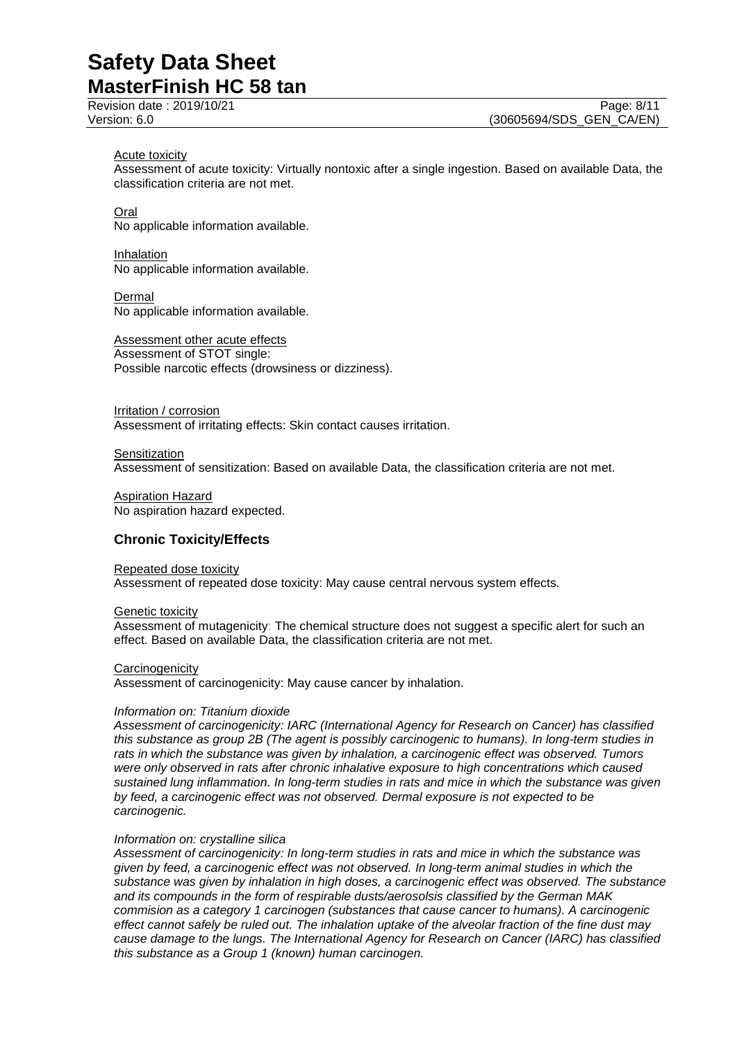#### Acute toxicity

Assessment of acute toxicity: Virtually nontoxic after a single ingestion. Based on available Data, the classification criteria are not met.

Oral

No applicable information available.

Inhalation No applicable information available.

Dermal No applicable information available.

Assessment other acute effects Assessment of STOT single: Possible narcotic effects (drowsiness or dizziness).

Irritation / corrosion Assessment of irritating effects: Skin contact causes irritation.

**Sensitization** Assessment of sensitization: Based on available Data, the classification criteria are not met.

Aspiration Hazard No aspiration hazard expected.

### **Chronic Toxicity/Effects**

Repeated dose toxicity Assessment of repeated dose toxicity: May cause central nervous system effects.

Genetic toxicity

Assessment of mutagenicity: The chemical structure does not suggest a specific alert for such an effect. Based on available Data, the classification criteria are not met.

**Carcinogenicity** 

Assessment of carcinogenicity: May cause cancer by inhalation.

#### *Information on: Titanium dioxide*

*Assessment of carcinogenicity: IARC (International Agency for Research on Cancer) has classified this substance as group 2B (The agent is possibly carcinogenic to humans). In long-term studies in rats in which the substance was given by inhalation, a carcinogenic effect was observed. Tumors were only observed in rats after chronic inhalative exposure to high concentrations which caused sustained lung inflammation. In long-term studies in rats and mice in which the substance was given by feed, a carcinogenic effect was not observed. Dermal exposure is not expected to be carcinogenic.*

#### *Information on: crystalline silica*

*Assessment of carcinogenicity: In long-term studies in rats and mice in which the substance was given by feed, a carcinogenic effect was not observed. In long-term animal studies in which the substance was given by inhalation in high doses, a carcinogenic effect was observed. The substance and its compounds in the form of respirable dusts/aerosolsis classified by the German MAK commision as a category 1 carcinogen (substances that cause cancer to humans). A carcinogenic effect cannot safely be ruled out. The inhalation uptake of the alveolar fraction of the fine dust may cause damage to the lungs. The International Agency for Research on Cancer (IARC) has classified this substance as a Group 1 (known) human carcinogen.*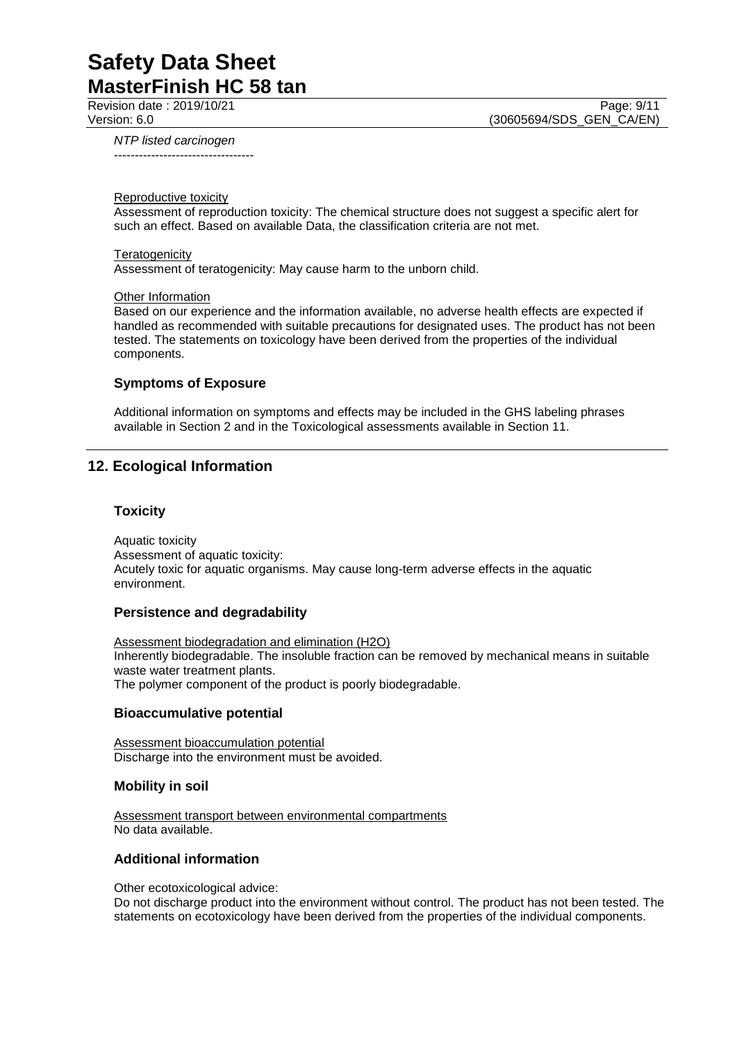Revision date : 2019/10/21 Page: 9/11<br>Version: 6.0 (30605694/SDS GEN CA/EN) (30605694/SDS\_GEN\_CA/EN)

*NTP listed carcinogen* ----------------------------------

#### Reproductive toxicity

Assessment of reproduction toxicity: The chemical structure does not suggest a specific alert for such an effect. Based on available Data, the classification criteria are not met.

#### **Teratogenicity**

Assessment of teratogenicity: May cause harm to the unborn child.

#### **Other Information**

Based on our experience and the information available, no adverse health effects are expected if handled as recommended with suitable precautions for designated uses. The product has not been tested. The statements on toxicology have been derived from the properties of the individual components.

#### **Symptoms of Exposure**

Additional information on symptoms and effects may be included in the GHS labeling phrases available in Section 2 and in the Toxicological assessments available in Section 11.

### **12. Ecological Information**

#### **Toxicity**

Aquatic toxicity Assessment of aquatic toxicity: Acutely toxic for aquatic organisms. May cause long-term adverse effects in the aquatic environment.

#### **Persistence and degradability**

Assessment biodegradation and elimination (H2O) Inherently biodegradable. The insoluble fraction can be removed by mechanical means in suitable waste water treatment plants. The polymer component of the product is poorly biodegradable.

#### **Bioaccumulative potential**

Assessment bioaccumulation potential Discharge into the environment must be avoided.

#### **Mobility in soil**

Assessment transport between environmental compartments No data available.

#### **Additional information**

Other ecotoxicological advice:

Do not discharge product into the environment without control. The product has not been tested. The statements on ecotoxicology have been derived from the properties of the individual components.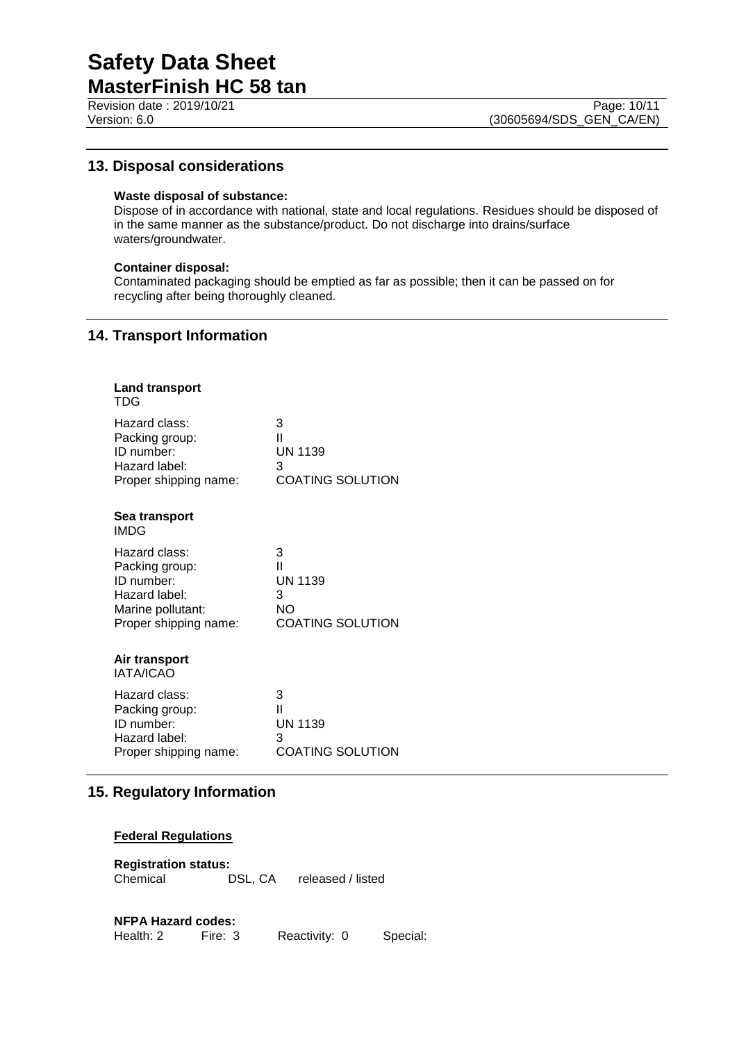Revision date : 2019/10/21 Page: 10/11<br>Version: 6.0 (30605694/SDS GEN CA/EN)

# **13. Disposal considerations**

### **Waste disposal of substance:**

Dispose of in accordance with national, state and local regulations. Residues should be disposed of in the same manner as the substance/product. Do not discharge into drains/surface waters/groundwater.

#### **Container disposal:**

Contaminated packaging should be emptied as far as possible; then it can be passed on for recycling after being thoroughly cleaned.

# **14. Transport Information**

| <b>Land transport</b><br>TDG |                         |
|------------------------------|-------------------------|
| Hazard class:                | 3                       |
| Packing group:               | $\mathbf{I}$            |
| ID number:                   | <b>UN 1139</b>          |
| Hazard label:                | 3                       |
| Proper shipping name:        | <b>COATING SOLUTION</b> |
| Sea transport<br>IMDG        |                         |
| Hazard class:                | 3                       |
| Packing group:               | Ш                       |
| ID number:                   | <b>UN 1139</b>          |
| Hazard label:                | 3                       |
| Marine pollutant:            | NΟ                      |
| Proper shipping name:        | <b>COATING SOLUTION</b> |
| Air transport<br>IATA/ICAO   |                         |
| Hazard class:                | 3                       |
| Packing group:               | Ш                       |
| ID number:                   | <b>UN 1139</b>          |
| Hazard label:                | 3                       |
| Proper shipping name:        | <b>COATING SOLUTION</b> |

# **15. Regulatory Information**

### **Federal Regulations**

**Registration status:** Chemical DSL, CA released / listed

#### **NFPA Hazard codes:**

Health: 2 Fire: 3 Reactivity: 0 Special: